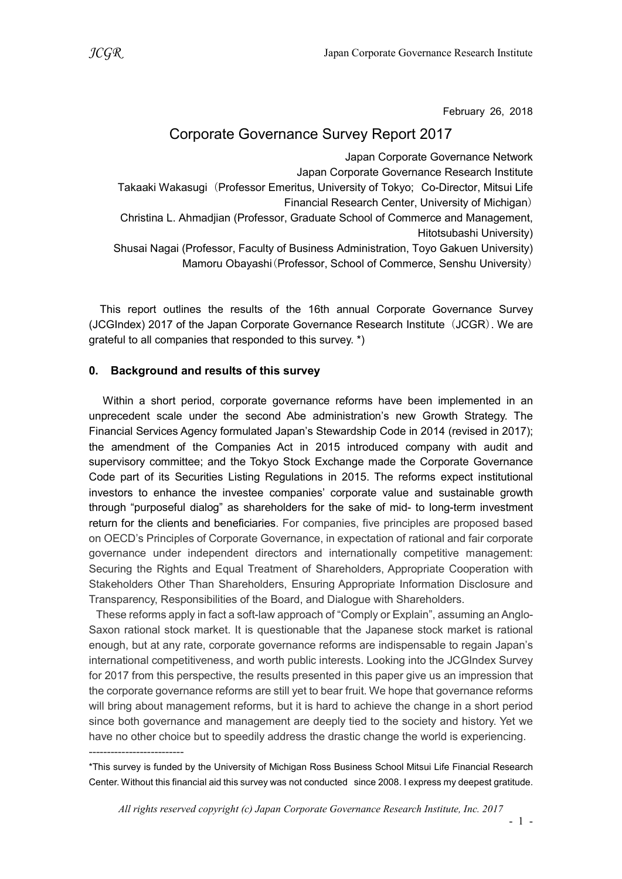February 26, 2018

## Corporate Governance Survey Report 2017

Japan Corporate Governance Network Japan Corporate Governance Research Institute Takaaki Wakasugi (Professor Emeritus, University of Tokyo; Co-Director, Mitsui Life Financial Research Center, University of Michigan) Christina L. Ahmadjian (Professor, Graduate School of Commerce and Management, Hitotsubashi University) Shusai Nagai (Professor, Faculty of Business Administration, Toyo Gakuen University) Mamoru Obayashi(Professor, School of Commerce, Senshu University)

This report outlines the results of the 16th annual Corporate Governance Survey (JCGIndex) 2017 of the Japan Corporate Governance Research Institute (JCGR). We are grateful to all companies that responded to this survey. \*)

#### 0. Background and results of this survey

--------------------------

Within a short period, corporate governance reforms have been implemented in an unprecedent scale under the second Abe administration's new Growth Strategy. The Financial Services Agency formulated Japan's Stewardship Code in 2014 (revised in 2017); the amendment of the Companies Act in 2015 introduced company with audit and supervisory committee; and the Tokyo Stock Exchange made the Corporate Governance Code part of its Securities Listing Regulations in 2015. The reforms expect institutional investors to enhance the investee companies' corporate value and sustainable growth through "purposeful dialog" as shareholders for the sake of mid- to long-term investment return for the clients and beneficiaries. For companies, five principles are proposed based on OECD's Principles of Corporate Governance, in expectation of rational and fair corporate governance under independent directors and internationally competitive management: Securing the Rights and Equal Treatment of Shareholders, Appropriate Cooperation with Stakeholders Other Than Shareholders, Ensuring Appropriate Information Disclosure and Transparency, Responsibilities of the Board, and Dialogue with Shareholders.

These reforms apply in fact a soft-law approach of "Comply or Explain", assuming an Anglo-Saxon rational stock market. It is questionable that the Japanese stock market is rational enough, but at any rate, corporate governance reforms are indispensable to regain Japan's international competitiveness, and worth public interests. Looking into the JCGIndex Survey for 2017 from this perspective, the results presented in this paper give us an impression that the corporate governance reforms are still yet to bear fruit. We hope that governance reforms will bring about management reforms, but it is hard to achieve the change in a short period since both governance and management are deeply tied to the society and history. Yet we have no other choice but to speedily address the drastic change the world is experiencing.

<sup>\*</sup>This survey is funded by the University of Michigan Ross Business School Mitsui Life Financial Research Center. Without this financial aid this survey was not conducted since 2008. I express my deepest gratitude.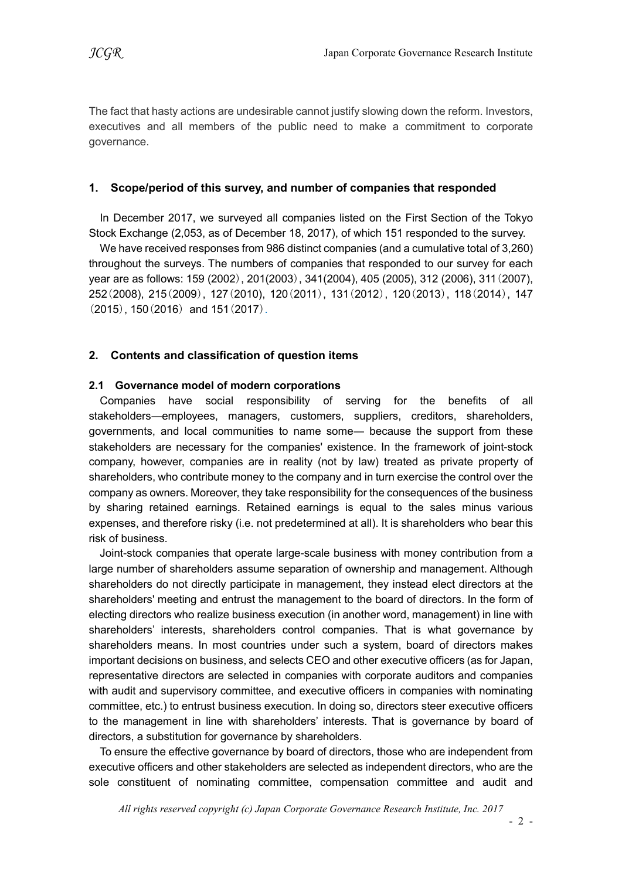The fact that hasty actions are undesirable cannot justify slowing down the reform. Investors, executives and all members of the public need to make a commitment to corporate governance.

### 1. Scope/period of this survey, and number of companies that responded

In December 2017, we surveyed all companies listed on the First Section of the Tokyo Stock Exchange (2,053, as of December 18, 2017), of which 151 responded to the survey.

We have received responses from 986 distinct companies (and a cumulative total of 3,260) throughout the surveys. The numbers of companies that responded to our survey for each year are as follows: 159 (2002), 201(2003), 341(2004), 405 (2005), 312 (2006), 311(2007), 252(2008), 215(2009), 127(2010), 120(2011), 131(2012), 120(2013), 118(2014), 147 (2015), 150(2016) and 151(2017).

## 2. Contents and classification of question items

#### 2.1 Governance model of modern corporations

Companies have social responsibility of serving for the benefits of all stakeholders―employees, managers, customers, suppliers, creditors, shareholders, governments, and local communities to name some― because the support from these stakeholders are necessary for the companies' existence. In the framework of joint-stock company, however, companies are in reality (not by law) treated as private property of shareholders, who contribute money to the company and in turn exercise the control over the company as owners. Moreover, they take responsibility for the consequences of the business by sharing retained earnings. Retained earnings is equal to the sales minus various expenses, and therefore risky (i.e. not predetermined at all). It is shareholders who bear this risk of business.

Joint-stock companies that operate large-scale business with money contribution from a large number of shareholders assume separation of ownership and management. Although shareholders do not directly participate in management, they instead elect directors at the shareholders' meeting and entrust the management to the board of directors. In the form of electing directors who realize business execution (in another word, management) in line with shareholders' interests, shareholders control companies. That is what governance by shareholders means. In most countries under such a system, board of directors makes important decisions on business, and selects CEO and other executive officers (as for Japan, representative directors are selected in companies with corporate auditors and companies with audit and supervisory committee, and executive officers in companies with nominating committee, etc.) to entrust business execution. In doing so, directors steer executive officers to the management in line with shareholders' interests. That is governance by board of directors, a substitution for governance by shareholders.

To ensure the effective governance by board of directors, those who are independent from executive officers and other stakeholders are selected as independent directors, who are the sole constituent of nominating committee, compensation committee and audit and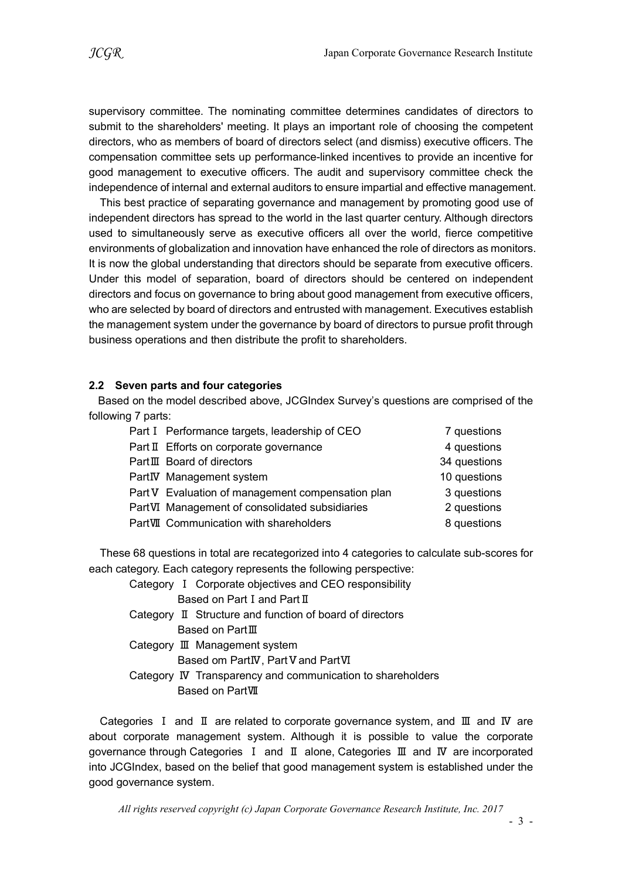supervisory committee. The nominating committee determines candidates of directors to submit to the shareholders' meeting. It plays an important role of choosing the competent directors, who as members of board of directors select (and dismiss) executive officers. The compensation committee sets up performance-linked incentives to provide an incentive for good management to executive officers. The audit and supervisory committee check the independence of internal and external auditors to ensure impartial and effective management.

This best practice of separating governance and management by promoting good use of independent directors has spread to the world in the last quarter century. Although directors used to simultaneously serve as executive officers all over the world, fierce competitive environments of globalization and innovation have enhanced the role of directors as monitors. It is now the global understanding that directors should be separate from executive officers. Under this model of separation, board of directors should be centered on independent directors and focus on governance to bring about good management from executive officers, who are selected by board of directors and entrusted with management. Executives establish the management system under the governance by board of directors to pursue profit through business operations and then distribute the profit to shareholders.

#### 2.2 Seven parts and four categories

Based on the model described above, JCGIndex Survey's questions are comprised of the following 7 parts:

| Part I Performance targets, leadership of CEO     | 7 questions  |
|---------------------------------------------------|--------------|
| Part II Efforts on corporate governance           | 4 questions  |
| PartIII Board of directors                        | 34 questions |
| PartIV Management system                          | 10 questions |
| Part V Evaluation of management compensation plan | 3 questions  |
| PartVI Management of consolidated subsidiaries    | 2 questions  |
| PartVII Communication with shareholders           | 8 questions  |

These 68 questions in total are recategorized into 4 categories to calculate sub-scores for each category. Each category represents the following perspective:

Category Ⅰ Corporate objectives and CEO responsibility Based on Part I and Part II

Category Ⅱ Structure and function of board of directors Based on PartⅢ

#### Category Ⅲ Management system Based om PartⅣ, PartⅤand PartⅥ

Category Ⅳ Transparency and communication to shareholders Based on PartⅦ

Categories Ⅰ and Ⅱ are related to corporate governance system, and Ⅲ and Ⅳ are about corporate management system. Although it is possible to value the corporate governance through Categories Ⅰ and Ⅱ alone, Categories Ⅲ and Ⅳ are incorporated into JCGIndex, based on the belief that good management system is established under the good governance system.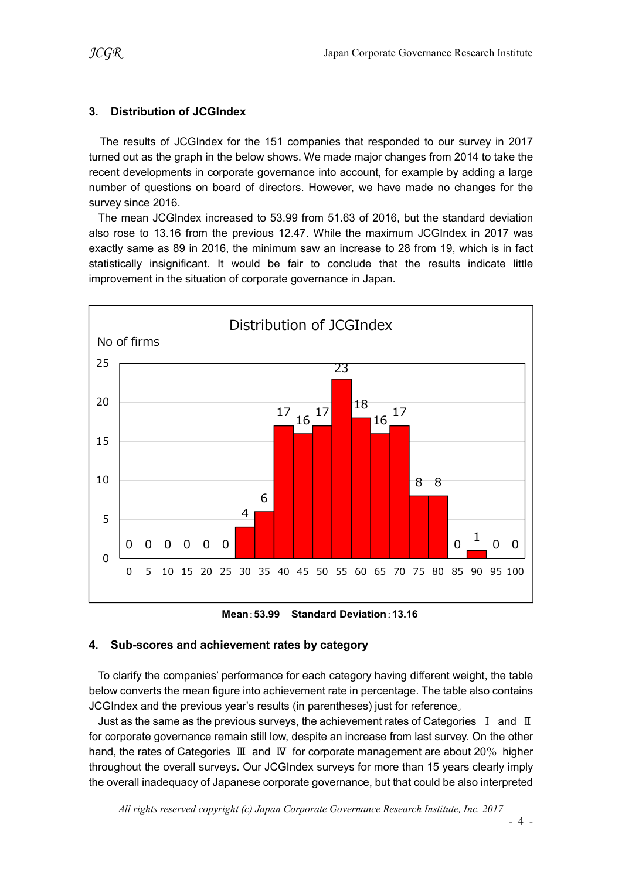### 3. Distribution of JCGIndex

The results of JCGIndex for the 151 companies that responded to our survey in 2017 turned out as the graph in the below shows. We made major changes from 2014 to take the recent developments in corporate governance into account, for example by adding a large number of questions on board of directors. However, we have made no changes for the survey since 2016.

The mean JCGIndex increased to 53.99 from 51.63 of 2016, but the standard deviation also rose to 13.16 from the previous 12.47. While the maximum JCGIndex in 2017 was exactly same as 89 in 2016, the minimum saw an increase to 28 from 19, which is in fact statistically insignificant. It would be fair to conclude that the results indicate little improvement in the situation of corporate governance in Japan.



Mean:53.99 Standard Deviation:13.16

#### 4. Sub-scores and achievement rates by category

To clarify the companies' performance for each category having different weight, the table below converts the mean figure into achievement rate in percentage. The table also contains JCGIndex and the previous year's results (in parentheses) just for reference。

Just as the same as the previous surveys, the achievement rates of Categories  $I$  and  $II$ for corporate governance remain still low, despite an increase from last survey. On the other hand, the rates of Categories Ⅲ and Ⅳ for corporate management are about 20% higher throughout the overall surveys. Our JCGIndex surveys for more than 15 years clearly imply the overall inadequacy of Japanese corporate governance, but that could be also interpreted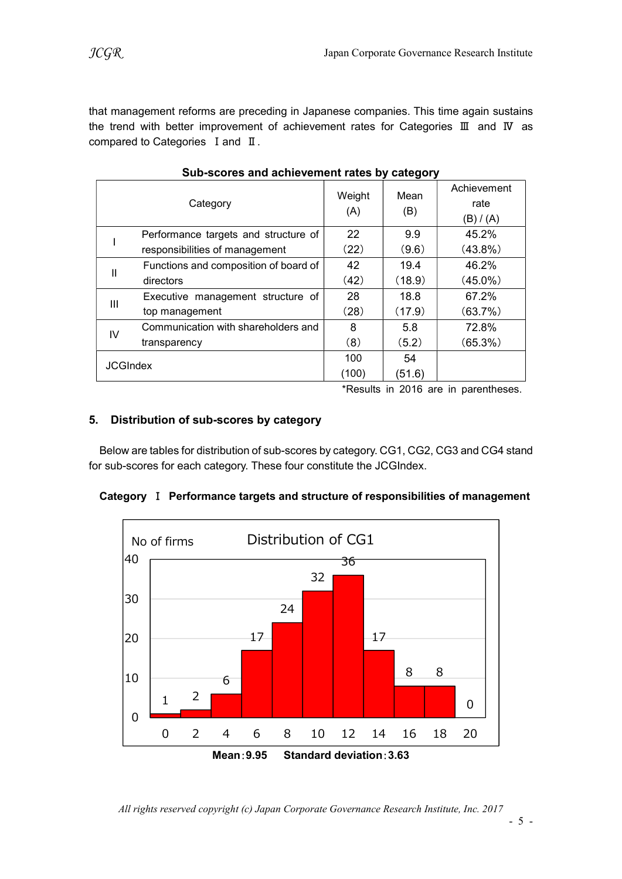that management reforms are preceding in Japanese companies. This time again sustains the trend with better improvement of achievement rates for Categories Ⅲ and Ⅳ as compared to Categories I and II.

|                                                                                                                                                                                                                                                                                            | Category                                       | Weight<br>(A) | Mean<br>(B) | Achievement<br>rate                  |  |  |
|--------------------------------------------------------------------------------------------------------------------------------------------------------------------------------------------------------------------------------------------------------------------------------------------|------------------------------------------------|---------------|-------------|--------------------------------------|--|--|
|                                                                                                                                                                                                                                                                                            |                                                |               |             | (B)/ (A)                             |  |  |
|                                                                                                                                                                                                                                                                                            | Performance targets and structure of           | 22            | 9.9         | 45.2%                                |  |  |
|                                                                                                                                                                                                                                                                                            | responsibilities of management                 | (22)          | (9.6)       | $(43.8\%)$                           |  |  |
|                                                                                                                                                                                                                                                                                            | Functions and composition of board of          | 42            | 19.4        | 46.2%                                |  |  |
| $\mathbf{I}$                                                                                                                                                                                                                                                                               | directors                                      | (42)          | (18.9)      | $(45.0\%)$                           |  |  |
|                                                                                                                                                                                                                                                                                            | Executive management structure of              | 28            | 18.8        | 67.2%                                |  |  |
| III                                                                                                                                                                                                                                                                                        | top management                                 | (28)          | (17.9)      | (63.7%)                              |  |  |
| IV                                                                                                                                                                                                                                                                                         | Communication with shareholders and            | 8             | 5.8         | 72.8%                                |  |  |
|                                                                                                                                                                                                                                                                                            | transparency                                   | (8)           | (5.2)       | $(65.3\%)$                           |  |  |
|                                                                                                                                                                                                                                                                                            |                                                | 100           | 54          |                                      |  |  |
|                                                                                                                                                                                                                                                                                            | <b>JCGIndex</b>                                | (100)         | (51.6)      |                                      |  |  |
|                                                                                                                                                                                                                                                                                            |                                                |               |             | *Results in 2016 are in parentheses. |  |  |
| Distribution of sub-scores by category<br>Below are tables for distribution of sub-scores by category. CG1, CG2, CG3 and CG4 stan<br>or sub-scores for each category. These four constitute the JCGIndex.<br>Category I Performance targets and structure of responsibilities of managemen |                                                |               |             |                                      |  |  |
|                                                                                                                                                                                                                                                                                            | Distribution of CG1<br>No of firms<br>40<br>32 | 36            |             |                                      |  |  |
|                                                                                                                                                                                                                                                                                            | 30                                             |               |             |                                      |  |  |

Sub-scores and achievement rates by category

#### 5. Distribution of sub-scores by category

|             |             |   |                                       |                 |    |                                                                                       |    |    |    | results in zone are in parentheses. |                |
|-------------|-------------|---|---------------------------------------|-----------------|----|---------------------------------------------------------------------------------------|----|----|----|-------------------------------------|----------------|
|             |             |   | istribution of sub-scores by category |                 |    |                                                                                       |    |    |    |                                     |                |
|             |             |   |                                       |                 |    | ow are tables for distribution of sub-scores by category. CG1, CG2, CG3 and CG4 stand |    |    |    |                                     |                |
|             |             |   |                                       |                 |    | b-scores for each category. These four constitute the JCGIndex.                       |    |    |    |                                     |                |
|             |             |   |                                       |                 |    | egory I Performance targets and structure of responsibilities of management           |    |    |    |                                     |                |
|             |             |   |                                       |                 |    | Distribution of CG1                                                                   |    |    |    |                                     |                |
| 40          | No of firms |   |                                       |                 |    |                                                                                       | 36 |    |    |                                     |                |
|             |             |   |                                       |                 |    | 32                                                                                    |    |    |    |                                     |                |
| 30          |             |   |                                       |                 | 24 |                                                                                       |    |    |    |                                     |                |
|             |             |   |                                       |                 |    |                                                                                       |    |    |    |                                     |                |
| 20          |             |   |                                       | 17              |    |                                                                                       |    | 17 |    |                                     |                |
| 10          |             |   | 6                                     |                 |    |                                                                                       |    |    | 8  | $\,8\,$                             |                |
|             |             | 2 |                                       |                 |    |                                                                                       |    |    |    |                                     | $\overline{0}$ |
| $\mathbf 0$ |             |   |                                       |                 |    |                                                                                       |    |    |    |                                     |                |
|             | $\mathbf 0$ | 2 | 4                                     | 6<br>Mean: 9.95 | 8  | 10<br><b>Standard deviation: 3.63</b>                                                 | 12 | 14 | 16 | 18                                  | 20             |
|             |             |   |                                       |                 |    |                                                                                       |    |    |    |                                     |                |
|             |             |   |                                       |                 |    |                                                                                       |    |    |    |                                     |                |

|  | Category I Performance targets and structure of responsibilities of management |  |
|--|--------------------------------------------------------------------------------|--|
|  |                                                                                |  |

All rights reserved copyright (c) Japan Corporate Governance Research Institute, Inc. 2017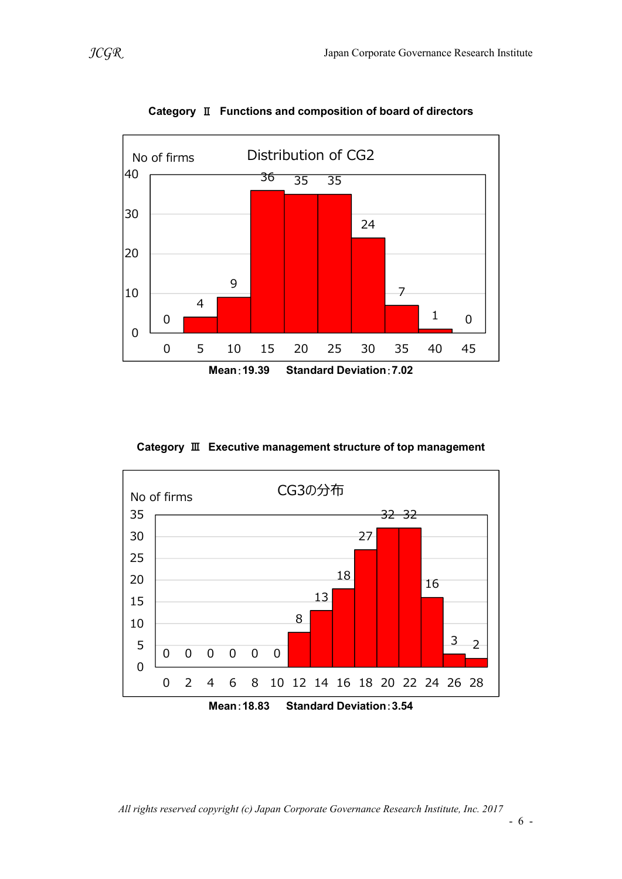

Category Ⅱ Functions and composition of board of directors

Category Ⅲ Executive management structure of top management



All rights reserved copyright (c) Japan Corporate Governance Research Institute, Inc. 2017

- 6 -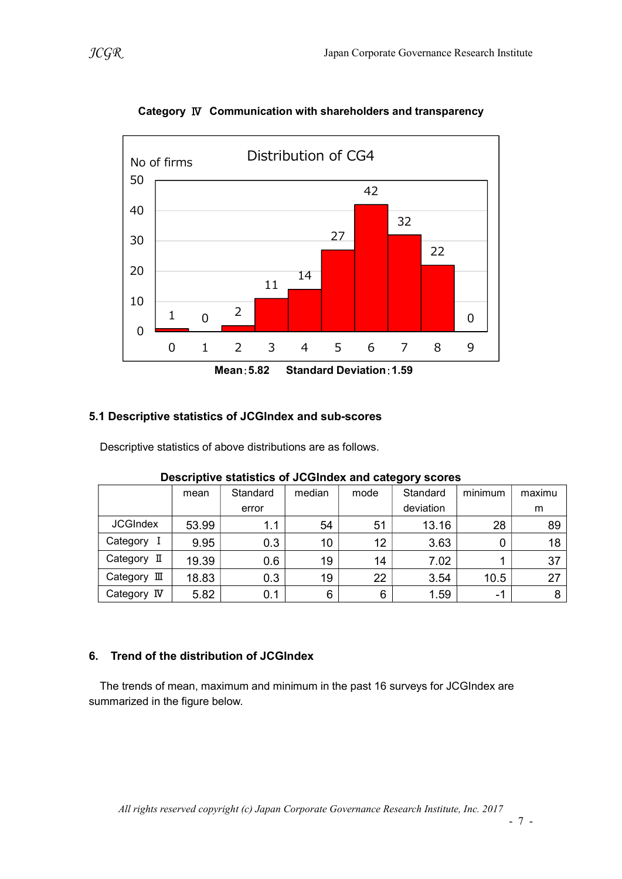

Category Ⅳ Communication with shareholders and transparency

## 5.1 Descriptive statistics of JCGIndex and sub-scores

Descriptive statistics of above distributions are as follows.

| <b>Descriptive statistics of JOOIIIUEA and Category SCOTES</b> |       |          |        |      |           |         |        |
|----------------------------------------------------------------|-------|----------|--------|------|-----------|---------|--------|
|                                                                | mean  | Standard | median | mode | Standard  | minimum | maximu |
|                                                                |       | error    |        |      | deviation |         | m      |
| <b>JCGIndex</b>                                                | 53.99 | 1.1      | 54     | 51   | 13.16     | 28      | 89     |
| Category I                                                     | 9.95  | 0.3      | 10     | 12   | 3.63      |         | 18     |
| Category II                                                    | 19.39 | 0.6      | 19     | 14   | 7.02      |         | 37     |
| Category III                                                   | 18.83 | 0.3      | 19     | 22   | 3.54      | 10.5    | 27     |
| Category IV                                                    | 5.82  | 0.1      | 6      | 6    | 1.59      | $-1$    |        |

## Descriptive statistics of JCGIndex and category scores

## 6. Trend of the distribution of JCGIndex

The trends of mean, maximum and minimum in the past 16 surveys for JCGIndex are summarized in the figure below.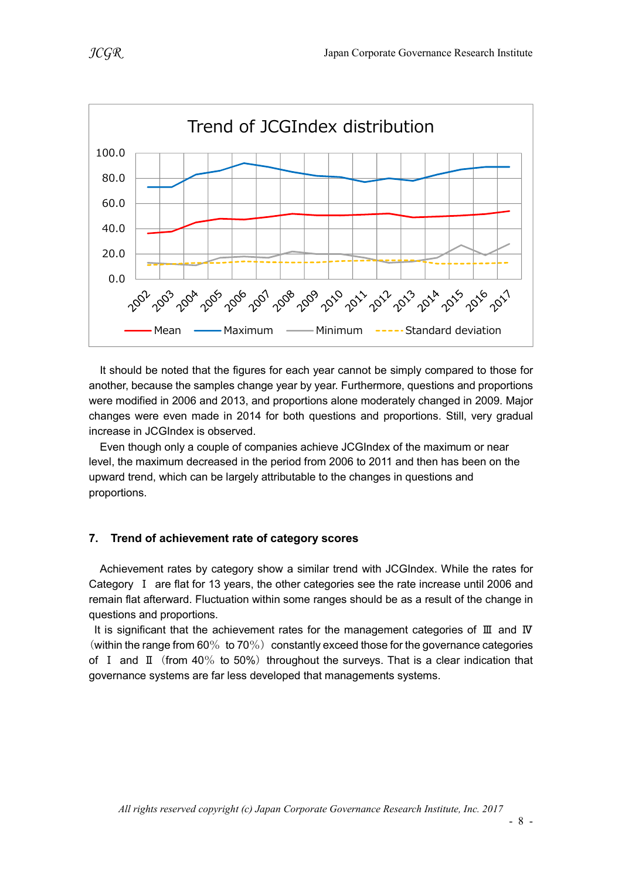

It should be noted that the figures for each year cannot be simply compared to those for another, because the samples change year by year. Furthermore, questions and proportions were modified in 2006 and 2013, and proportions alone moderately changed in 2009. Major changes were even made in 2014 for both questions and proportions. Still, very gradual increase in JCGIndex is observed.

Even though only a couple of companies achieve JCGIndex of the maximum or near level, the maximum decreased in the period from 2006 to 2011 and then has been on the upward trend, which can be largely attributable to the changes in questions and proportions.

## 7. Trend of achievement rate of category scores

Achievement rates by category show a similar trend with JCGIndex. While the rates for Category Ⅰ are flat for 13 years, the other categories see the rate increase until 2006 and remain flat afterward. Fluctuation within some ranges should be as a result of the change in questions and proportions.

It is significant that the achievement rates for the management categories of Ⅲ and Ⅳ (within the range from 60% to 70%) constantly exceed those for the governance categories of I and  $\text{I}$  (from 40% to 50%) throughout the surveys. That is a clear indication that governance systems are far less developed that managements systems.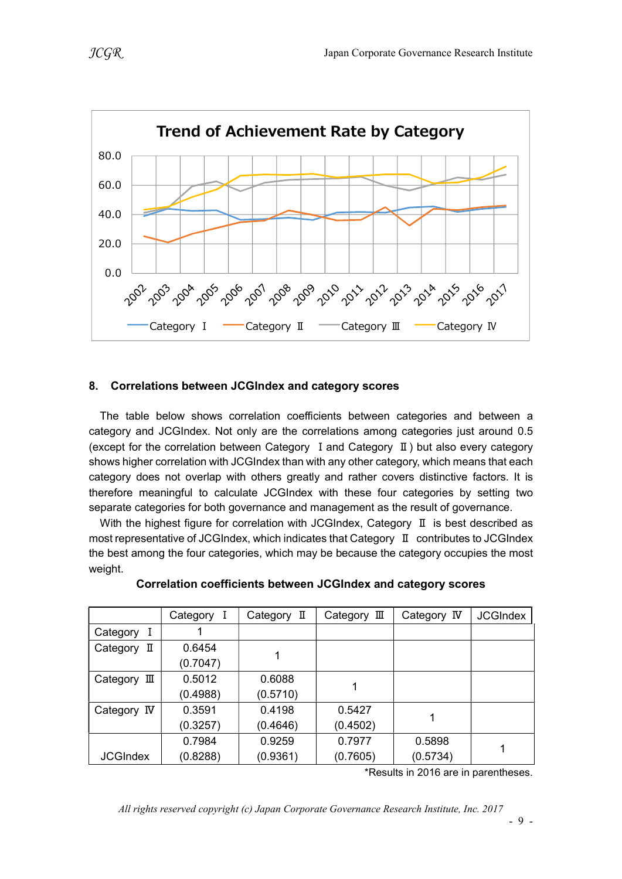![](_page_8_Figure_2.jpeg)

## 8. Correlations between JCGIndex and category scores

The table below shows correlation coefficients between categories and between a category and JCGIndex. Not only are the correlations among categories just around 0.5 (except for the correlation between Category Ⅰand Category Ⅱ) but also every category shows higher correlation with JCGIndex than with any other category, which means that each category does not overlap with others greatly and rather covers distinctive factors. It is therefore meaningful to calculate JCGIndex with these four categories by setting two separate categories for both governance and management as the result of governance.

With the highest figure for correlation with JCGIndex, Category Ⅱ is best described as most representative of JCGIndex, which indicates that Category Ⅱ contributes to JCGIndex the best among the four categories, which may be because the category occupies the most weight.

|                      | Category I | Category II | Category $\mathbb I$ | Category IV | <b>JCGIndex</b> |
|----------------------|------------|-------------|----------------------|-------------|-----------------|
| Category<br>1        |            |             |                      |             |                 |
| П<br>Category        | 0.6454     |             |                      |             |                 |
|                      | (0.7047)   |             |                      |             |                 |
| Category $\mathbb I$ | 0.5012     | 0.6088      |                      |             |                 |
|                      | (0.4988)   | (0.5710)    |                      |             |                 |
| Category IV          | 0.3591     | 0.4198      | 0.5427               |             |                 |
|                      | (0.3257)   | (0.4646)    | (0.4502)             |             |                 |
|                      | 0.7984     | 0.9259      | 0.7977               | 0.5898      |                 |
| <b>JCGIndex</b>      | (0.8288)   | (0.9361)    | (0.7605)             | (0.5734)    |                 |

#### Correlation coefficients between JCGIndex and category scores

\*Results in 2016 are in parentheses.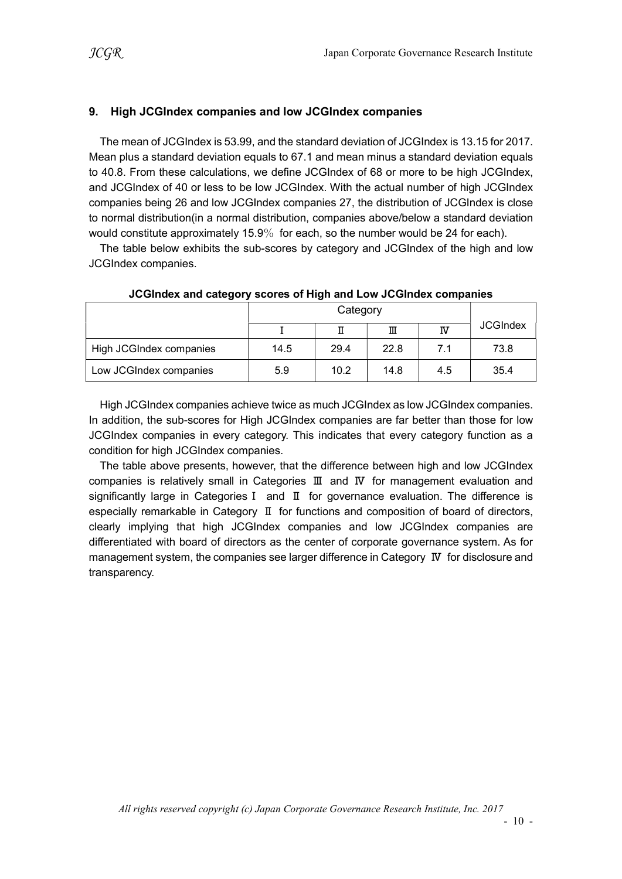#### 9. High JCGIndex companies and low JCGIndex companies

The mean of JCGIndex is 53.99, and the standard deviation of JCGIndex is 13.15 for 2017. Mean plus a standard deviation equals to 67.1 and mean minus a standard deviation equals to 40.8. From these calculations, we define JCGIndex of 68 or more to be high JCGIndex, and JCGIndex of 40 or less to be low JCGIndex. With the actual number of high JCGIndex companies being 26 and low JCGIndex companies 27, the distribution of JCGIndex is close to normal distribution(in a normal distribution, companies above/below a standard deviation would constitute approximately 15.9% for each, so the number would be 24 for each).

The table below exhibits the sub-scores by category and JCGIndex of the high and low JCGIndex companies.

|                         |      |      | Ш    | ΙV  | <b>JCGIndex</b> |
|-------------------------|------|------|------|-----|-----------------|
| High JCGIndex companies | 14.5 | 29.4 | 22.8 | 7.1 | 73.8            |
| Low JCGIndex companies  | 5.9  | 10.2 | 14.8 | 4.5 | 35.4            |

#### JCGIndex and category scores of High and Low JCGIndex companies

High JCGIndex companies achieve twice as much JCGIndex as low JCGIndex companies. In addition, the sub-scores for High JCGIndex companies are far better than those for low JCGIndex companies in every category. This indicates that every category function as a condition for high JCGIndex companies.

The table above presents, however, that the difference between high and low JCGIndex companies is relatively small in Categories Ⅲ and Ⅳ for management evaluation and significantly large in CategoriesⅠ and Ⅱ for governance evaluation. The difference is especially remarkable in Category Ⅱ for functions and composition of board of directors, clearly implying that high JCGIndex companies and low JCGIndex companies are differentiated with board of directors as the center of corporate governance system. As for management system, the companies see larger difference in Category Ⅳ for disclosure and transparency.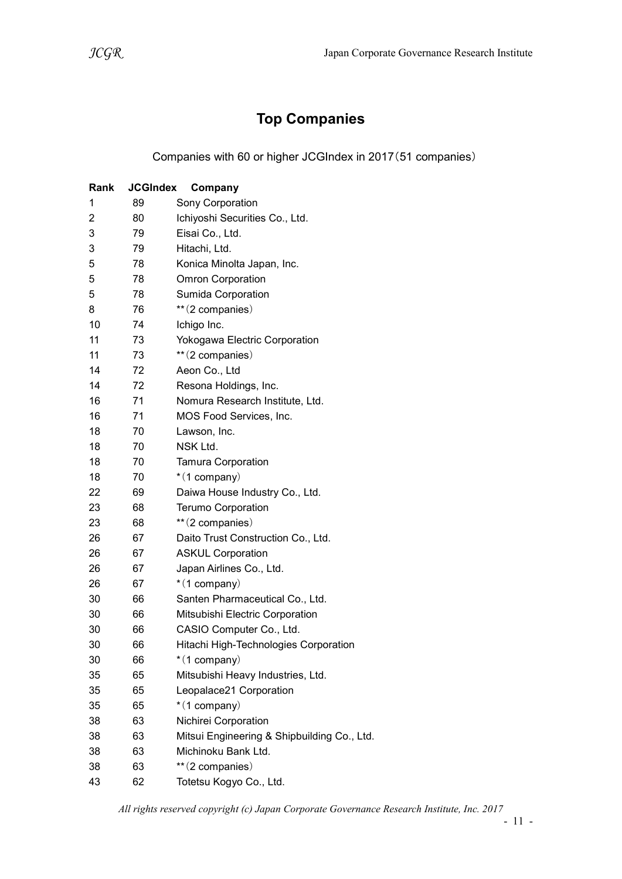# Top Companies

Companies with 60 or higher JCGIndex in 2017(51 companies)

| Rank           | <b>JCGIndex</b> | Company                                     |
|----------------|-----------------|---------------------------------------------|
| 1              | 89              | Sony Corporation                            |
| $\overline{2}$ | 80              | Ichiyoshi Securities Co., Ltd.              |
| 3              | 79              | Eisai Co., Ltd.                             |
| 3              | 79              | Hitachi, Ltd.                               |
| 5              | 78              | Konica Minolta Japan, Inc.                  |
| 5              | 78              | <b>Omron Corporation</b>                    |
| 5              | 78              | Sumida Corporation                          |
| 8              | 76              | ** (2 companies)                            |
| 10             | 74              | Ichigo Inc.                                 |
| 11             | 73              | Yokogawa Electric Corporation               |
| 11             | 73              | ** (2 companies)                            |
| 14             | 72              | Aeon Co., Ltd                               |
| 14             | 72              | Resona Holdings, Inc.                       |
| 16             | 71              | Nomura Research Institute, Ltd.             |
| 16             | 71              | MOS Food Services, Inc.                     |
| 18             | 70              | Lawson, Inc.                                |
| 18             | 70              | NSK Ltd.                                    |
| 18             | 70              | <b>Tamura Corporation</b>                   |
| 18             | 70              | $*(1$ company)                              |
| 22             | 69              | Daiwa House Industry Co., Ltd.              |
| 23             | 68              | <b>Terumo Corporation</b>                   |
| 23             | 68              | ** (2 companies)                            |
| 26             | 67              | Daito Trust Construction Co., Ltd.          |
| 26             | 67              | <b>ASKUL Corporation</b>                    |
| 26             | 67              | Japan Airlines Co., Ltd.                    |
| 26             | 67              | $*(1$ company)                              |
| 30             | 66              | Santen Pharmaceutical Co., Ltd.             |
| 30             | 66              | Mitsubishi Electric Corporation             |
| 30             | 66              | CASIO Computer Co., Ltd.                    |
| 30             | 66              | Hitachi High-Technologies Corporation       |
| 30             | 66              | $*(1$ company)                              |
| 35             | 65              | Mitsubishi Heavy Industries, Ltd.           |
| 35             | 65              | Leopalace21 Corporation                     |
| 35             | 65              | $*(1$ company)                              |
| 38             | 63              | Nichirei Corporation                        |
| 38             | 63              | Mitsui Engineering & Shipbuilding Co., Ltd. |
| 38             | 63              | Michinoku Bank Ltd.                         |
| 38             | 63              | ** (2 companies)                            |
| 43             | 62              | Totetsu Kogyo Co., Ltd.                     |